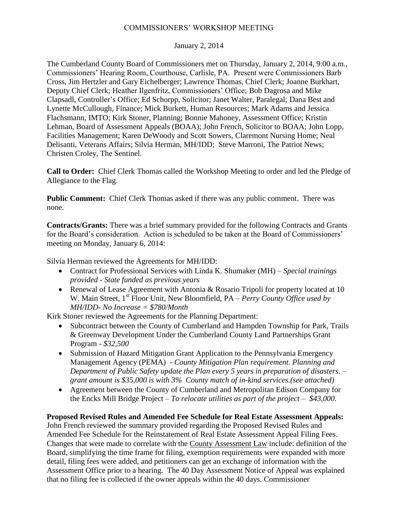### COMMISSIONERS' WORKSHOP MEETING

#### January 2, 2014

The Cumberland County Board of Commissioners met on Thursday, January 2, 2014, 9:00 a.m., Commissioners' Hearing Room, Courthouse, Carlisle, PA. Present were Commissioners Barb Cross, Jim Hertzler and Gary Eichelberger; Lawrence Thomas, Chief Clerk; Joanne Burkhart, Deputy Chief Clerk; Heather Ilgenfritz, Commissioners' Office; Bob Dagrosa and Mike Clapsadl, Controller's Office; Ed Schorpp, Solicitor; Janet Walter, Paralegal; Dana Best and Lynette McCullough, Finance; Mick Burkett, Human Resources; Mark Adams and Jessica Flachsmann, IMTO; Kirk Stoner, Planning; Bonnie Mahoney, Assessment Office; Kristin Lehman, Board of Assessment Appeals (BOAA); John French, Solicitor to BOAA; John Lopp, Facilities Management; Karen DeWoody and Scott Sowers, Claremont Nursing Home; Neal Delisanti, Veterans Affairs; Silvia Herman, MH/IDD; Steve Marroni, The Patriot News; Christen Croley, The Sentinel.

**Call to Order:** Chief Clerk Thomas called the Workshop Meeting to order and led the Pledge of Allegiance to the Flag.

**Public Comment:** Chief Clerk Thomas asked if there was any public comment. There was none.

**Contracts/Grants:** There was a brief summary provided for the following Contracts and Grants for the Board's consideration. Action is scheduled to be taken at the Board of Commissioners' meeting on Monday, January 6, 2014:

Silvia Herman reviewed the Agreements for MH/IDD:

- Contract for Professional Services with Linda K. Shumaker (MH) *Special trainings provided* - *State funded as previous years*
- Renewal of Lease Agreement with Antonia & Rosario Tripoli for property located at 10 W. Main Street, 1<sup>st</sup> Floor Unit, New Bloomfield, PA – *Perry County Office used by MH/IDD- No Increase = \$780/Month*

Kirk Stoner reviewed the Agreements for the Planning Department:

- Subcontract between the County of Cumberland and Hampden Township for Park, Trails & Greenway Development Under the Cumberland County Land Partnerships Grant Program - *\$32,500*
- Submission of Hazard Mitigation Grant Application to the Pennsylvania Emergency Management Agency (PEMA) - *County Mitigation Plan requirement. Planning and Department of Public Safety update the Plan every 5 years in preparation of disasters. – grant amount is \$35,000 is with 3% County match of in-kind services.(see attached)*
- Agreement between the County of Cumberland and Metropolitan Edison Company for the Encks Mill Bridge Project – *To relocate utilities as part of the project – \$43,000.*

# **Proposed Revised Rules and Amended Fee Schedule for Real Estate Assessment Appeals:**

John French reviewed the summary provided regarding the Proposed Revised Rules and Amended Fee Schedule for the Reinstatement of Real Estate Assessment Appeal Filing Fees. Changes that were made to correlate with the County Assessment Law include: definition of the Board, simplifying the time frame for filing, exemption requirements were expanded with more detail, filing fees were added, and petitioners can get an exchange of information with the Assessment Office prior to a hearing. The 40 Day Assessment Notice of Appeal was explained that no filing fee is collected if the owner appeals within the 40 days. Commissioner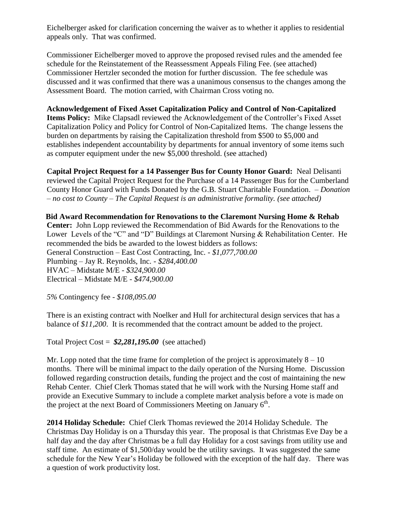Eichelberger asked for clarification concerning the waiver as to whether it applies to residential appeals only. That was confirmed.

Commissioner Eichelberger moved to approve the proposed revised rules and the amended fee schedule for the Reinstatement of the Reassessment Appeals Filing Fee. (see attached) Commissioner Hertzler seconded the motion for further discussion. The fee schedule was discussed and it was confirmed that there was a unanimous consensus to the changes among the Assessment Board. The motion carried, with Chairman Cross voting no.

### **Acknowledgement of Fixed Asset Capitalization Policy and Control of Non-Capitalized**

**Items Policy:** Mike Clapsadl reviewed the Acknowledgement of the Controller's Fixed Asset Capitalization Policy and Policy for Control of Non-Capitalized Items. The change lessens the burden on departments by raising the Capitalization threshold from \$500 to \$5,000 and establishes independent accountability by departments for annual inventory of some items such as computer equipment under the new \$5,000 threshold. (see attached)

**Capital Project Request for a 14 Passenger Bus for County Honor Guard:** Neal Delisanti reviewed the Capital Project Request for the Purchase of a 14 Passenger Bus for the Cumberland County Honor Guard with Funds Donated by the G.B. Stuart Charitable Foundation. – *Donation – no cost to County – The Capital Request is an administrative formality. (see attached)*

**Bid Award Recommendation for Renovations to the Claremont Nursing Home & Rehab Center:** John Lopp reviewed the Recommendation of Bid Awards for the Renovations to the Lower Levels of the "C" and "D" Buildings at Claremont Nursing & Rehabilitation Center. He recommended the bids be awarded to the lowest bidders as follows: General Construction – East Cost Contracting, Inc. - *\$1,077,700.00* Plumbing – Jay R. Reynolds, Inc. - *\$284,400.00* HVAC – Midstate M/E - *\$324,900.00* Electrical – Midstate M/E - *\$474,900.00*

*5%* Contingency fee - *\$108,095.00*

There is an existing contract with Noelker and Hull for architectural design services that has a balance of *\$11,200*. It is recommended that the contract amount be added to the project.

Total Project Cost = *\$2,281,195.00* (see attached)

Mr. Lopp noted that the time frame for completion of the project is approximately  $8 - 10$ months. There will be minimal impact to the daily operation of the Nursing Home. Discussion followed regarding construction details, funding the project and the cost of maintaining the new Rehab Center. Chief Clerk Thomas stated that he will work with the Nursing Home staff and provide an Executive Summary to include a complete market analysis before a vote is made on the project at the next Board of Commissioners Meeting on January  $6<sup>th</sup>$ .

**2014 Holiday Schedule:** Chief Clerk Thomas reviewed the 2014 Holiday Schedule. The Christmas Day Holiday is on a Thursday this year. The proposal is that Christmas Eve Day be a half day and the day after Christmas be a full day Holiday for a cost savings from utility use and staff time. An estimate of \$1,500/day would be the utility savings. It was suggested the same schedule for the New Year's Holiday be followed with the exception of the half day. There was a question of work productivity lost.